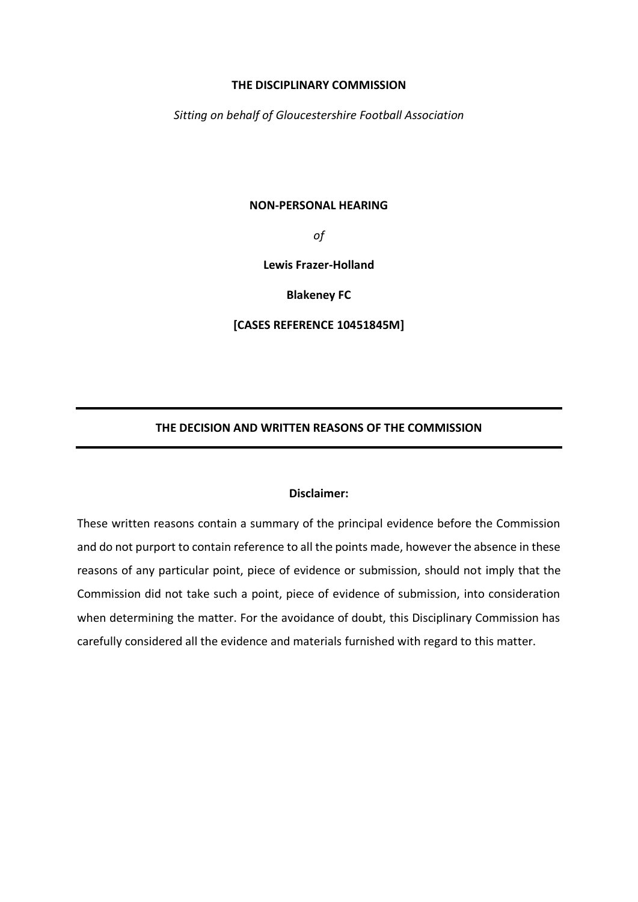#### **THE DISCIPLINARY COMMISSION**

*Sitting on behalf of Gloucestershire Football Association*

#### **NON-PERSONAL HEARING**

*of*

**Lewis Frazer-Holland**

**Blakeney FC**

**[CASES REFERENCE 10451845M]**

# **THE DECISION AND WRITTEN REASONS OF THE COMMISSION**

#### **Disclaimer:**

These written reasons contain a summary of the principal evidence before the Commission and do not purport to contain reference to all the points made, however the absence in these reasons of any particular point, piece of evidence or submission, should not imply that the Commission did not take such a point, piece of evidence of submission, into consideration when determining the matter. For the avoidance of doubt, this Disciplinary Commission has carefully considered all the evidence and materials furnished with regard to this matter.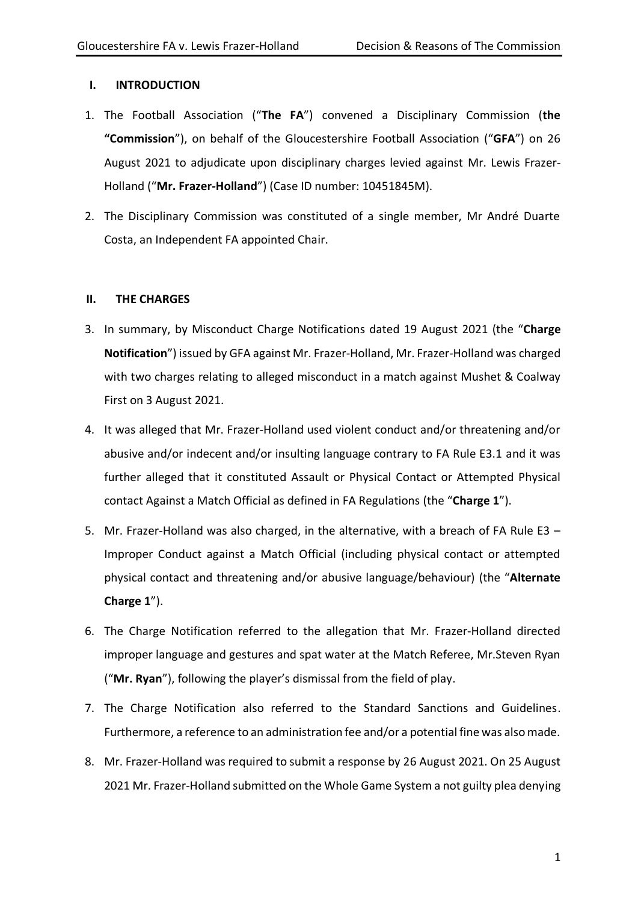# **I. INTRODUCTION**

- 1. The Football Association ("**The FA**") convened a Disciplinary Commission (**the "Commission**"), on behalf of the Gloucestershire Football Association ("**GFA**") on 26 August 2021 to adjudicate upon disciplinary charges levied against Mr. Lewis Frazer-Holland ("**Mr. Frazer-Holland**") (Case ID number: 10451845M).
- 2. The Disciplinary Commission was constituted of a single member, Mr André Duarte Costa, an Independent FA appointed Chair.

# **II. THE CHARGES**

- 3. In summary, by Misconduct Charge Notifications dated 19 August 2021 (the "**Charge Notification**") issued by GFA against Mr. Frazer-Holland, Mr. Frazer-Holland was charged with two charges relating to alleged misconduct in a match against Mushet & Coalway First on 3 August 2021.
- 4. It was alleged that Mr. Frazer-Holland used violent conduct and/or threatening and/or abusive and/or indecent and/or insulting language contrary to FA Rule E3.1 and it was further alleged that it constituted Assault or Physical Contact or Attempted Physical contact Against a Match Official as defined in FA Regulations (the "**Charge 1**").
- 5. Mr. Frazer-Holland was also charged, in the alternative, with a breach of FA Rule E3 Improper Conduct against a Match Official (including physical contact or attempted physical contact and threatening and/or abusive language/behaviour) (the "**Alternate Charge 1**").
- 6. The Charge Notification referred to the allegation that Mr. Frazer-Holland directed improper language and gestures and spat water at the Match Referee, Mr.Steven Ryan ("**Mr. Ryan**"), following the player's dismissal from the field of play.
- 7. The Charge Notification also referred to the Standard Sanctions and Guidelines. Furthermore, a reference to an administration fee and/or a potential fine was also made.
- 8. Mr. Frazer-Holland was required to submit a response by 26 August 2021. On 25 August 2021 Mr. Frazer-Holland submitted on the Whole Game System a not guilty plea denying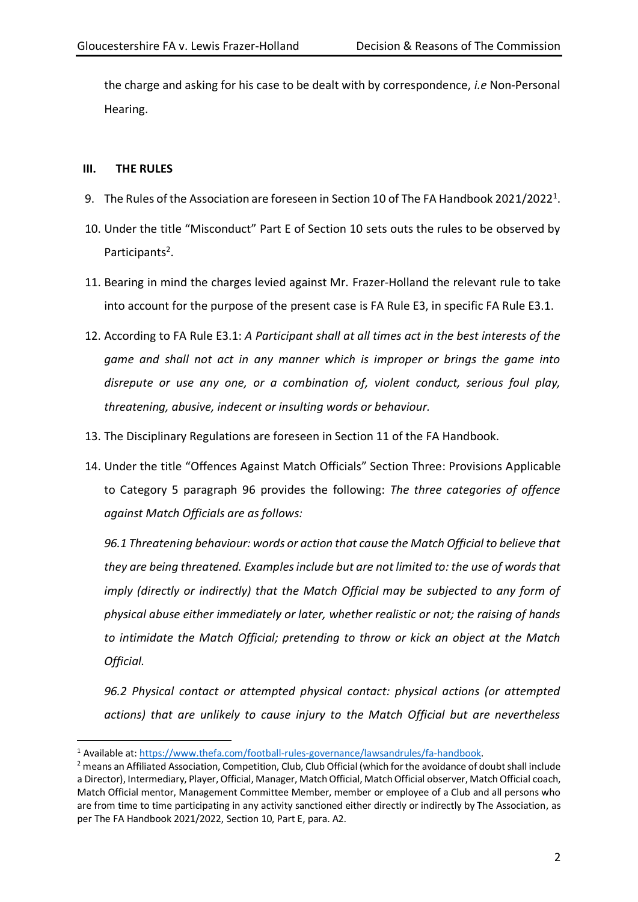the charge and asking for his case to be dealt with by correspondence, *i.e* Non-Personal Hearing.

# **III. THE RULES**

- 9. The Rules of the Association are foreseen in Section 10 of The FA Handbook 2021/2022<sup>1</sup>.
- 10. Under the title "Misconduct" Part E of Section 10 sets outs the rules to be observed by Participants<sup>2</sup>.
- 11. Bearing in mind the charges levied against Mr. Frazer-Holland the relevant rule to take into account for the purpose of the present case is FA Rule E3, in specific FA Rule E3.1.
- 12. According to FA Rule E3.1: *A Participant shall at all times act in the best interests of the game and shall not act in any manner which is improper or brings the game into disrepute or use any one, or a combination of, violent conduct, serious foul play, threatening, abusive, indecent or insulting words or behaviour.*
- 13. The Disciplinary Regulations are foreseen in Section 11 of the FA Handbook.
- 14. Under the title "Offences Against Match Officials" Section Three: Provisions Applicable to Category 5 paragraph 96 provides the following: *The three categories of offence against Match Officials are as follows:*

*96.1 Threatening behaviour: words or action that cause the Match Official to believe that they are being threatened. Examples include but are not limited to: the use of words that imply (directly or indirectly) that the Match Official may be subjected to any form of physical abuse either immediately or later, whether realistic or not; the raising of hands to intimidate the Match Official; pretending to throw or kick an object at the Match Official.* 

*96.2 Physical contact or attempted physical contact: physical actions (or attempted actions) that are unlikely to cause injury to the Match Official but are nevertheless* 

<sup>1</sup> Available at: [https://www.thefa.com/football-rules-governance/lawsandrules/fa-handbook.](https://www.thefa.com/football-rules-governance/lawsandrules/fa-handbook)

<sup>&</sup>lt;sup>2</sup> means an Affiliated Association, Competition, Club, Club Official (which for the avoidance of doubt shall include a Director), Intermediary, Player, Official, Manager, Match Official, Match Official observer, Match Official coach, Match Official mentor, Management Committee Member, member or employee of a Club and all persons who are from time to time participating in any activity sanctioned either directly or indirectly by The Association, as per The FA Handbook 2021/2022, Section 10, Part E, para. A2.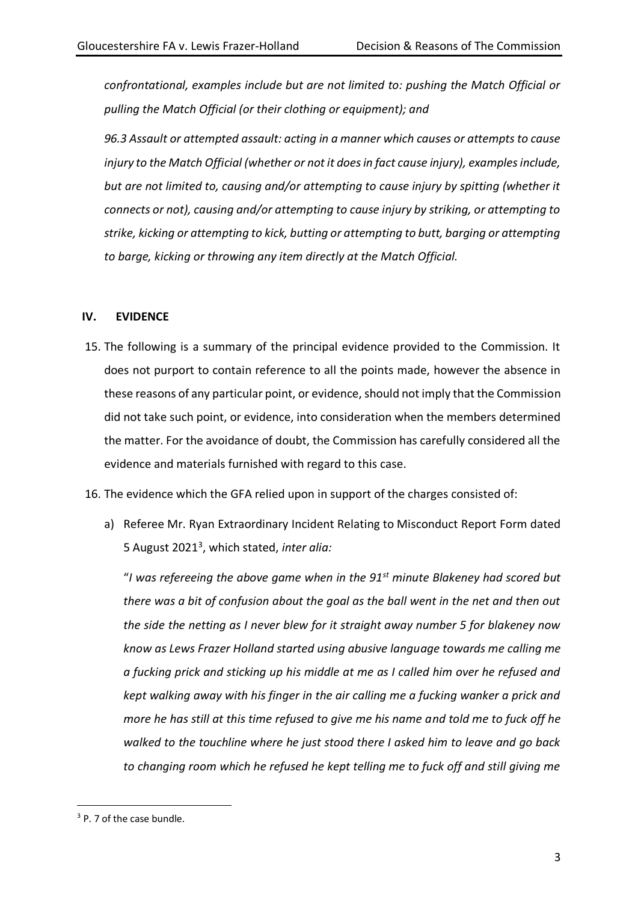*confrontational, examples include but are not limited to: pushing the Match Official or pulling the Match Official (or their clothing or equipment); and* 

*96.3 Assault or attempted assault: acting in a manner which causes or attempts to cause injury to the Match Official (whether or not it does in fact cause injury), examples include, but are not limited to, causing and/or attempting to cause injury by spitting (whether it connects or not), causing and/or attempting to cause injury by striking, or attempting to strike, kicking or attempting to kick, butting or attempting to butt, barging or attempting to barge, kicking or throwing any item directly at the Match Official.* 

# **IV. EVIDENCE**

15. The following is a summary of the principal evidence provided to the Commission. It does not purport to contain reference to all the points made, however the absence in these reasons of any particular point, or evidence, should not imply that the Commission did not take such point, or evidence, into consideration when the members determined the matter. For the avoidance of doubt, the Commission has carefully considered all the evidence and materials furnished with regard to this case.

16. The evidence which the GFA relied upon in support of the charges consisted of:

a) Referee Mr. Ryan Extraordinary Incident Relating to Misconduct Report Form dated 5 August 2021<sup>3</sup> , which stated, *inter alia:*

"*I was refereeing the above game when in the 91st minute Blakeney had scored but there was a bit of confusion about the goal as the ball went in the net and then out the side the netting as I never blew for it straight away number 5 for blakeney now know as Lews Frazer Holland started using abusive language towards me calling me a fucking prick and sticking up his middle at me as I called him over he refused and kept walking away with his finger in the air calling me a fucking wanker a prick and more he has still at this time refused to give me his name and told me to fuck off he walked to the touchline where he just stood there I asked him to leave and go back to changing room which he refused he kept telling me to fuck off and still giving me* 

<sup>&</sup>lt;sup>3</sup> P. 7 of the case bundle.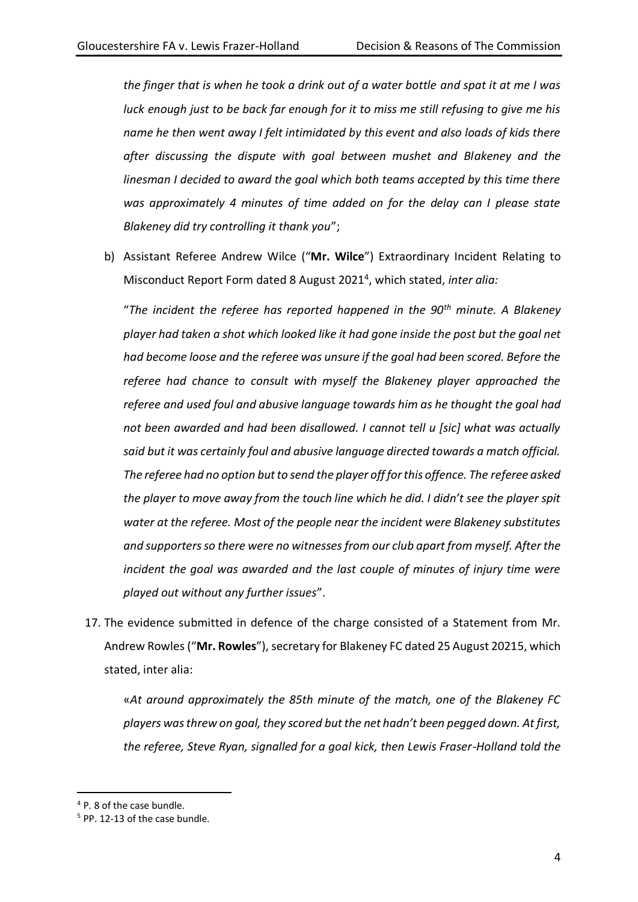*the finger that is when he took a drink out of a water bottle and spat it at me I was luck enough just to be back far enough for it to miss me still refusing to give me his name he then went away I felt intimidated by this event and also loads of kids there after discussing the dispute with goal between mushet and Blakeney and the linesman I decided to award the goal which both teams accepted by this time there was approximately 4 minutes of time added on for the delay can I please state Blakeney did try controlling it thank you*";

b) Assistant Referee Andrew Wilce ("**Mr. Wilce**") Extraordinary Incident Relating to Misconduct Report Form dated 8 August 2021<sup>4</sup> , which stated, *inter alia:*

"*The incident the referee has reported happened in the 90th minute. A Blakeney player had taken a shot which looked like it had gone inside the post but the goal net had become loose and the referee was unsure if the goal had been scored. Before the referee had chance to consult with myself the Blakeney player approached the referee and used foul and abusive language towards him as he thought the goal had not been awarded and had been disallowed. I cannot tell u [sic] what was actually said but it was certainly foul and abusive language directed towards a match official. The referee had no option but to send the player off for this offence. The referee asked the player to move away from the touch line which he did. I didn't see the player spit water at the referee. Most of the people near the incident were Blakeney substitutes and supporters so there were no witnesses from our club apart from myself. After the incident the goal was awarded and the last couple of minutes of injury time were played out without any further issues*".

17. The evidence submitted in defence of the charge consisted of a Statement from Mr. Andrew Rowles ("**Mr. Rowles**"), secretary for Blakeney FC dated 25 August 20215, which stated, inter alia:

«*At around approximately the 85th minute of the match, one of the Blakeney FC players was threw on goal, they scored but the net hadn't been pegged down. At first, the referee, Steve Ryan, signalled for a goal kick, then Lewis Fraser-Holland told the* 

<sup>4</sup> P. 8 of the case bundle.

<sup>5</sup> PP. 12-13 of the case bundle.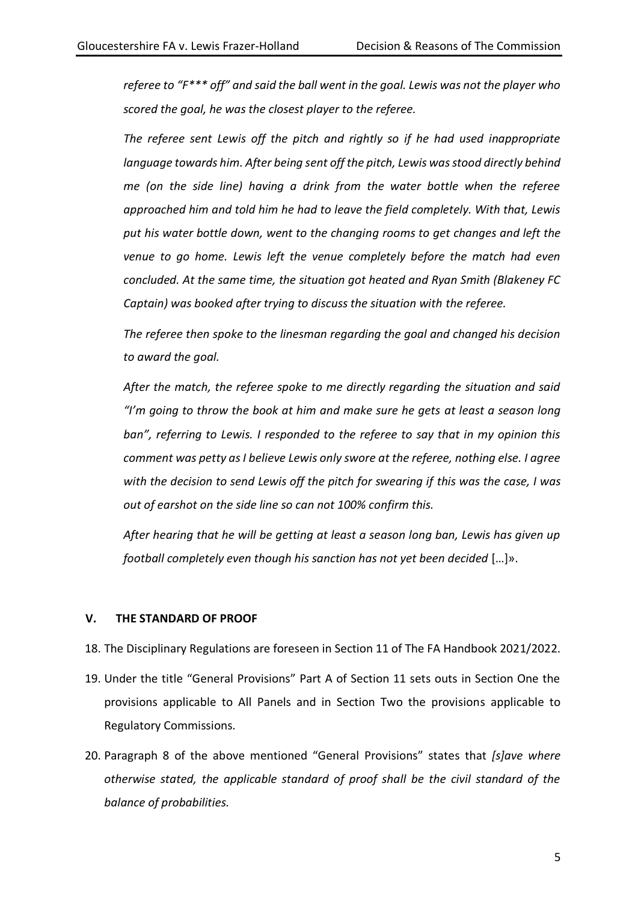*referee to "F\*\*\* off" and said the ball went in the goal. Lewis was not the player who scored the goal, he was the closest player to the referee.*

*The referee sent Lewis off the pitch and rightly so if he had used inappropriate language towards him. After being sent off the pitch, Lewis was stood directly behind me (on the side line) having a drink from the water bottle when the referee approached him and told him he had to leave the field completely. With that, Lewis put his water bottle down, went to the changing rooms to get changes and left the venue to go home. Lewis left the venue completely before the match had even concluded. At the same time, the situation got heated and Ryan Smith (Blakeney FC Captain) was booked after trying to discuss the situation with the referee.*

*The referee then spoke to the linesman regarding the goal and changed his decision to award the goal.*

*After the match, the referee spoke to me directly regarding the situation and said "I'm going to throw the book at him and make sure he gets at least a season long ban", referring to Lewis. I responded to the referee to say that in my opinion this comment was petty as I believe Lewis only swore at the referee, nothing else. I agree with the decision to send Lewis off the pitch for swearing if this was the case, I was out of earshot on the side line so can not 100% confirm this.*

*After hearing that he will be getting at least a season long ban, Lewis has given up football completely even though his sanction has not yet been decided* […]».

### **V. THE STANDARD OF PROOF**

18. The Disciplinary Regulations are foreseen in Section 11 of The FA Handbook 2021/2022.

- 19. Under the title "General Provisions" Part A of Section 11 sets outs in Section One the provisions applicable to All Panels and in Section Two the provisions applicable to Regulatory Commissions.
- 20. Paragraph 8 of the above mentioned "General Provisions" states that *[s]ave where otherwise stated, the applicable standard of proof shall be the civil standard of the balance of probabilities.*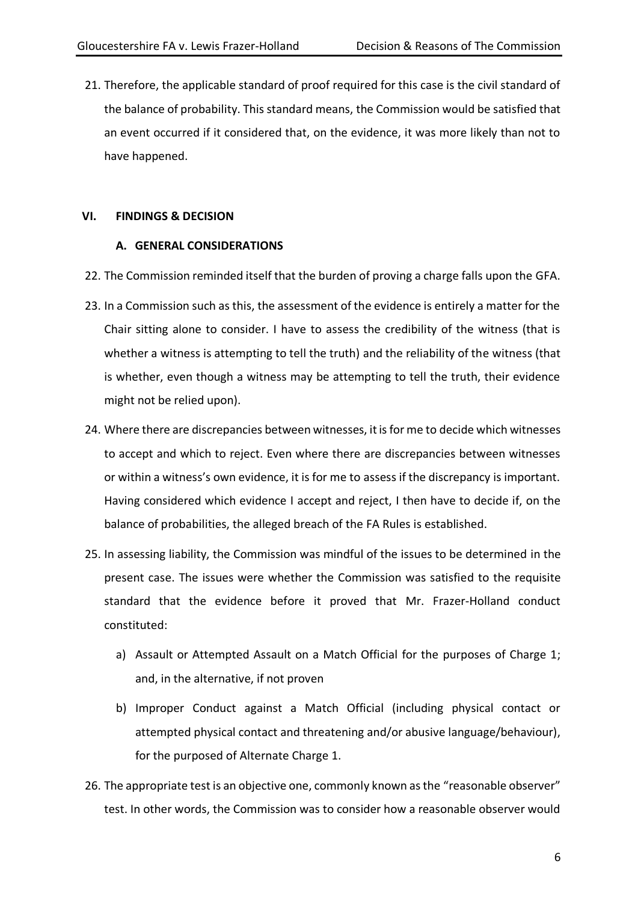21. Therefore, the applicable standard of proof required for this case is the civil standard of the balance of probability. This standard means, the Commission would be satisfied that an event occurred if it considered that, on the evidence, it was more likely than not to have happened.

# **VI. FINDINGS & DECISION**

# **A. GENERAL CONSIDERATIONS**

- 22. The Commission reminded itself that the burden of proving a charge falls upon the GFA.
- 23. In a Commission such as this, the assessment of the evidence is entirely a matter for the Chair sitting alone to consider. I have to assess the credibility of the witness (that is whether a witness is attempting to tell the truth) and the reliability of the witness (that is whether, even though a witness may be attempting to tell the truth, their evidence might not be relied upon).
- 24. Where there are discrepancies between witnesses, it is for me to decide which witnesses to accept and which to reject. Even where there are discrepancies between witnesses or within a witness's own evidence, it is for me to assess if the discrepancy is important. Having considered which evidence I accept and reject, I then have to decide if, on the balance of probabilities, the alleged breach of the FA Rules is established.
- 25. In assessing liability, the Commission was mindful of the issues to be determined in the present case. The issues were whether the Commission was satisfied to the requisite standard that the evidence before it proved that Mr. Frazer-Holland conduct constituted:
	- a) Assault or Attempted Assault on a Match Official for the purposes of Charge 1; and, in the alternative, if not proven
	- b) Improper Conduct against a Match Official (including physical contact or attempted physical contact and threatening and/or abusive language/behaviour), for the purposed of Alternate Charge 1.
- 26. The appropriate test is an objective one, commonly known as the "reasonable observer" test. In other words, the Commission was to consider how a reasonable observer would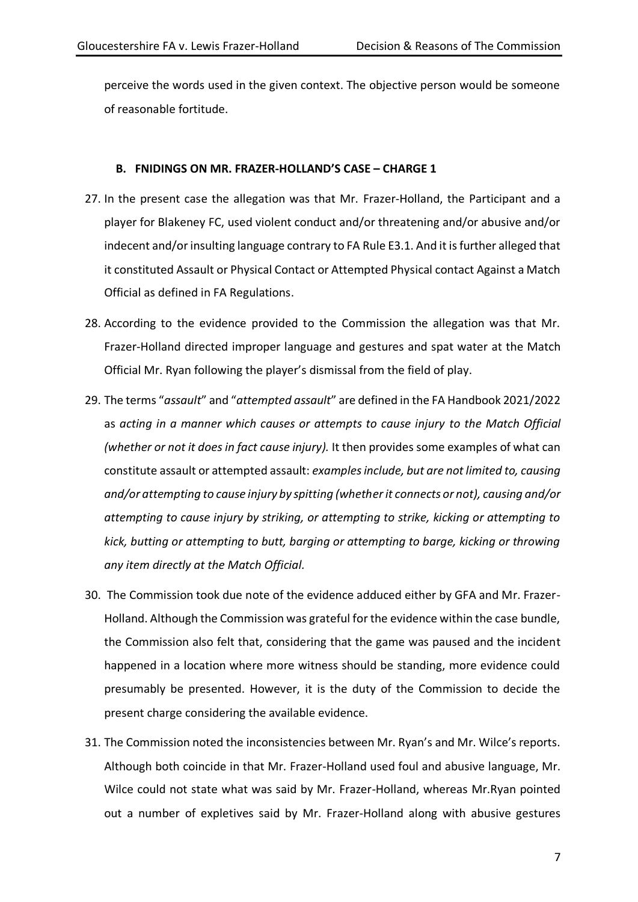perceive the words used in the given context. The objective person would be someone of reasonable fortitude.

### **B. FNIDINGS ON MR. FRAZER-HOLLAND'S CASE – CHARGE 1**

- 27. In the present case the allegation was that Mr. Frazer-Holland, the Participant and a player for Blakeney FC, used violent conduct and/or threatening and/or abusive and/or indecent and/or insulting language contrary to FA Rule E3.1. And it is further alleged that it constituted Assault or Physical Contact or Attempted Physical contact Against a Match Official as defined in FA Regulations.
- 28. According to the evidence provided to the Commission the allegation was that Mr. Frazer-Holland directed improper language and gestures and spat water at the Match Official Mr. Ryan following the player's dismissal from the field of play.
- 29. The terms "*assault*" and "*attempted assault*" are defined in the FA Handbook 2021/2022 as *acting in a manner which causes or attempts to cause injury to the Match Official (whether or not it does in fact cause injury).* It then provides some examples of what can constitute assault or attempted assault: *examples include, but are not limited to, causing and/or attempting to cause injury by spitting (whether it connects or not), causing and/or attempting to cause injury by striking, or attempting to strike, kicking or attempting to kick, butting or attempting to butt, barging or attempting to barge, kicking or throwing any item directly at the Match Official.*
- 30. The Commission took due note of the evidence adduced either by GFA and Mr. Frazer-Holland. Although the Commission was grateful for the evidence within the case bundle, the Commission also felt that, considering that the game was paused and the incident happened in a location where more witness should be standing, more evidence could presumably be presented. However, it is the duty of the Commission to decide the present charge considering the available evidence.
- 31. The Commission noted the inconsistencies between Mr. Ryan's and Mr. Wilce's reports. Although both coincide in that Mr. Frazer-Holland used foul and abusive language, Mr. Wilce could not state what was said by Mr. Frazer-Holland, whereas Mr.Ryan pointed out a number of expletives said by Mr. Frazer-Holland along with abusive gestures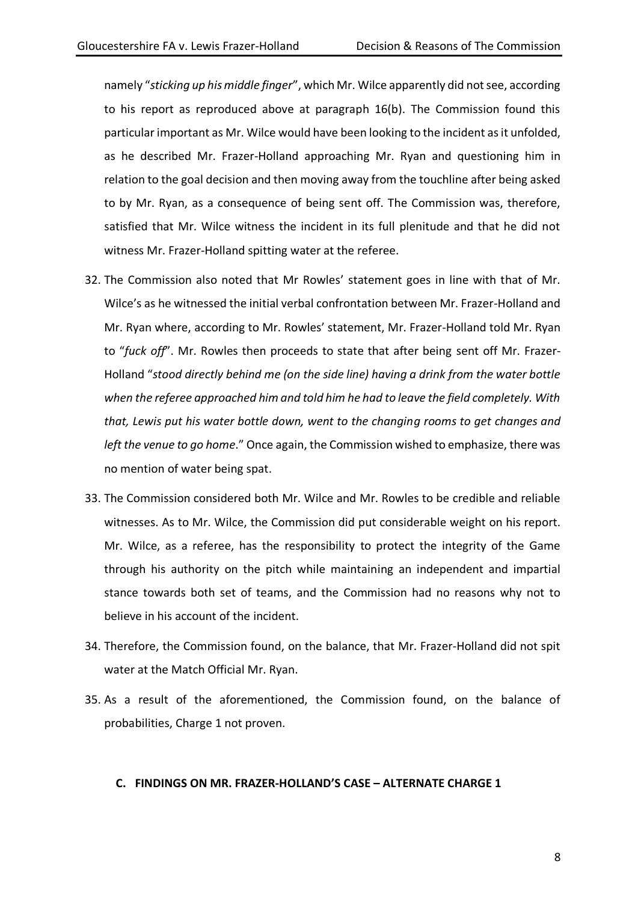namely "*sticking up his middle finger*", which Mr. Wilce apparently did not see, according to his report as reproduced above at paragraph 16(b). The Commission found this particular important as Mr. Wilce would have been looking to the incident as it unfolded, as he described Mr. Frazer-Holland approaching Mr. Ryan and questioning him in relation to the goal decision and then moving away from the touchline after being asked to by Mr. Ryan, as a consequence of being sent off. The Commission was, therefore, satisfied that Mr. Wilce witness the incident in its full plenitude and that he did not witness Mr. Frazer-Holland spitting water at the referee.

- 32. The Commission also noted that Mr Rowles' statement goes in line with that of Mr. Wilce's as he witnessed the initial verbal confrontation between Mr. Frazer-Holland and Mr. Ryan where, according to Mr. Rowles' statement, Mr. Frazer-Holland told Mr. Ryan to "*fuck off*". Mr. Rowles then proceeds to state that after being sent off Mr. Frazer-Holland "*stood directly behind me (on the side line) having a drink from the water bottle when the referee approached him and told him he had to leave the field completely. With that, Lewis put his water bottle down, went to the changing rooms to get changes and left the venue to go home*." Once again, the Commission wished to emphasize, there was no mention of water being spat.
- 33. The Commission considered both Mr. Wilce and Mr. Rowles to be credible and reliable witnesses. As to Mr. Wilce, the Commission did put considerable weight on his report. Mr. Wilce, as a referee, has the responsibility to protect the integrity of the Game through his authority on the pitch while maintaining an independent and impartial stance towards both set of teams, and the Commission had no reasons why not to believe in his account of the incident.
- 34. Therefore, the Commission found, on the balance, that Mr. Frazer-Holland did not spit water at the Match Official Mr. Ryan.
- 35. As a result of the aforementioned, the Commission found, on the balance of probabilities, Charge 1 not proven.

### **C. FINDINGS ON MR. FRAZER-HOLLAND'S CASE – ALTERNATE CHARGE 1**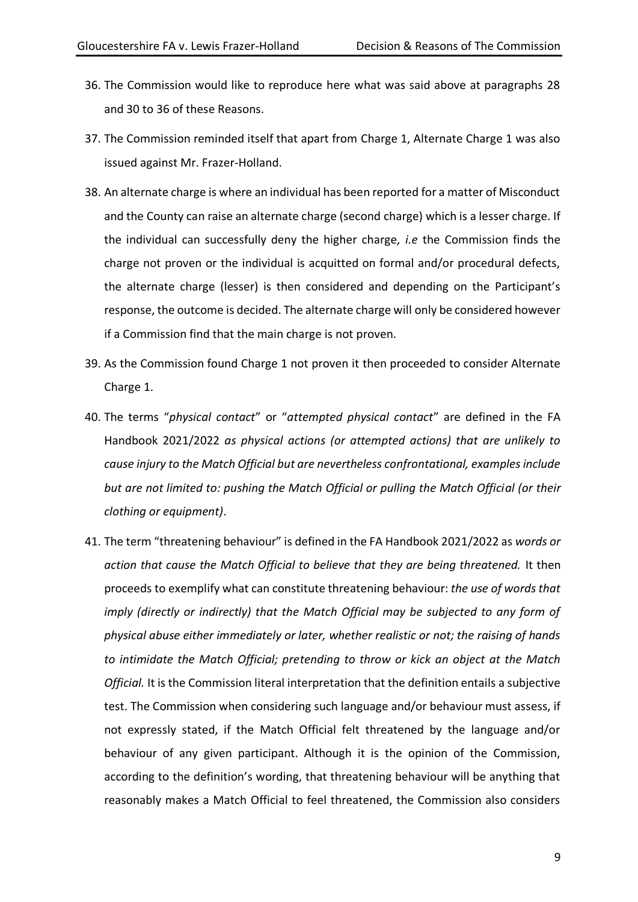- 36. The Commission would like to reproduce here what was said above at paragraphs 28 and 30 to 36 of these Reasons.
- 37. The Commission reminded itself that apart from Charge 1, Alternate Charge 1 was also issued against Mr. Frazer-Holland.
- 38. An alternate charge is where an individual has been reported for a matter of Misconduct and the County can raise an alternate charge (second charge) which is a lesser charge. If the individual can successfully deny the higher charge*, i.e* the Commission finds the charge not proven or the individual is acquitted on formal and/or procedural defects, the alternate charge (lesser) is then considered and depending on the Participant's response, the outcome is decided. The alternate charge will only be considered however if a Commission find that the main charge is not proven.
- 39. As the Commission found Charge 1 not proven it then proceeded to consider Alternate Charge 1.
- 40. The terms "*physical contact*" or "*attempted physical contact*" are defined in the FA Handbook 2021/2022 *as physical actions (or attempted actions) that are unlikely to cause injury to the Match Official but are nevertheless confrontational, examples include but are not limited to: pushing the Match Official or pulling the Match Official (or their clothing or equipment)*.
- 41. The term "threatening behaviour" is defined in the FA Handbook 2021/2022 as *words or action that cause the Match Official to believe that they are being threatened.* It then proceeds to exemplify what can constitute threatening behaviour: *the use of words that imply (directly or indirectly) that the Match Official may be subjected to any form of physical abuse either immediately or later, whether realistic or not; the raising of hands to intimidate the Match Official; pretending to throw or kick an object at the Match Official.* It is the Commission literal interpretation that the definition entails a subjective test. The Commission when considering such language and/or behaviour must assess, if not expressly stated, if the Match Official felt threatened by the language and/or behaviour of any given participant. Although it is the opinion of the Commission, according to the definition's wording, that threatening behaviour will be anything that reasonably makes a Match Official to feel threatened, the Commission also considers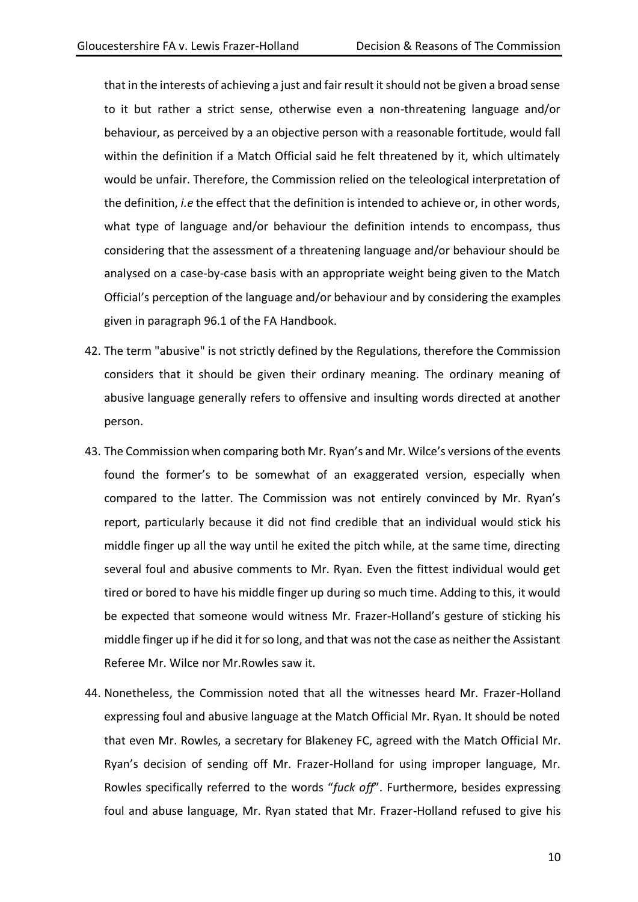that in the interests of achieving a just and fair result it should not be given a broad sense to it but rather a strict sense, otherwise even a non-threatening language and/or behaviour, as perceived by a an objective person with a reasonable fortitude, would fall within the definition if a Match Official said he felt threatened by it, which ultimately would be unfair. Therefore, the Commission relied on the teleological interpretation of the definition, *i.e* the effect that the definition is intended to achieve or, in other words, what type of language and/or behaviour the definition intends to encompass, thus considering that the assessment of a threatening language and/or behaviour should be analysed on a case-by-case basis with an appropriate weight being given to the Match Official's perception of the language and/or behaviour and by considering the examples given in paragraph 96.1 of the FA Handbook.

- 42. The term "abusive" is not strictly defined by the Regulations, therefore the Commission considers that it should be given their ordinary meaning. The ordinary meaning of abusive language generally refers to offensive and insulting words directed at another person.
- 43. The Commission when comparing both Mr. Ryan's and Mr. Wilce's versions of the events found the former's to be somewhat of an exaggerated version, especially when compared to the latter. The Commission was not entirely convinced by Mr. Ryan's report, particularly because it did not find credible that an individual would stick his middle finger up all the way until he exited the pitch while, at the same time, directing several foul and abusive comments to Mr. Ryan. Even the fittest individual would get tired or bored to have his middle finger up during so much time. Adding to this, it would be expected that someone would witness Mr. Frazer-Holland's gesture of sticking his middle finger up if he did it for so long, and that was not the case as neither the Assistant Referee Mr. Wilce nor Mr.Rowles saw it.
- 44. Nonetheless, the Commission noted that all the witnesses heard Mr. Frazer-Holland expressing foul and abusive language at the Match Official Mr. Ryan. It should be noted that even Mr. Rowles, a secretary for Blakeney FC, agreed with the Match Official Mr. Ryan's decision of sending off Mr. Frazer-Holland for using improper language, Mr. Rowles specifically referred to the words "*fuck off*". Furthermore, besides expressing foul and abuse language, Mr. Ryan stated that Mr. Frazer-Holland refused to give his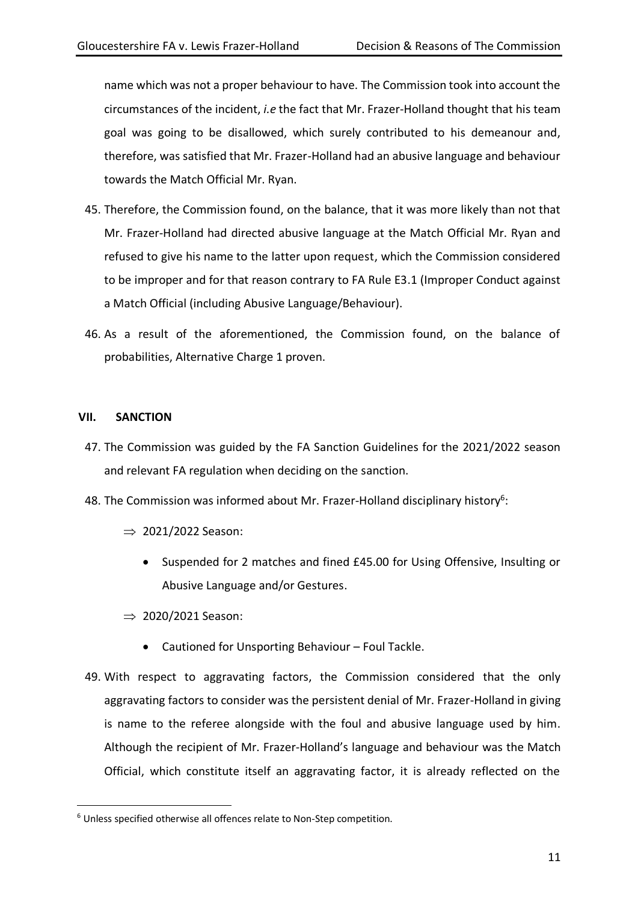name which was not a proper behaviour to have. The Commission took into account the circumstances of the incident, *i.e* the fact that Mr. Frazer-Holland thought that his team goal was going to be disallowed, which surely contributed to his demeanour and, therefore, was satisfied that Mr. Frazer-Holland had an abusive language and behaviour towards the Match Official Mr. Ryan.

- 45. Therefore, the Commission found, on the balance, that it was more likely than not that Mr. Frazer-Holland had directed abusive language at the Match Official Mr. Ryan and refused to give his name to the latter upon request, which the Commission considered to be improper and for that reason contrary to FA Rule E3.1 (Improper Conduct against a Match Official (including Abusive Language/Behaviour).
- 46. As a result of the aforementioned, the Commission found, on the balance of probabilities, Alternative Charge 1 proven.

# **VII. SANCTION**

- 47. The Commission was guided by the FA Sanction Guidelines for the 2021/2022 season and relevant FA regulation when deciding on the sanction.
- 48. The Commission was informed about Mr. Frazer-Holland disciplinary history<sup>6</sup>:
	- $\Rightarrow$  2021/2022 Season:
		- Suspended for 2 matches and fined £45.00 for Using Offensive, Insulting or Abusive Language and/or Gestures.
	- $\Rightarrow$  2020/2021 Season:
		- Cautioned for Unsporting Behaviour Foul Tackle.
- 49. With respect to aggravating factors, the Commission considered that the only aggravating factors to consider was the persistent denial of Mr. Frazer-Holland in giving is name to the referee alongside with the foul and abusive language used by him. Although the recipient of Mr. Frazer-Holland's language and behaviour was the Match Official, which constitute itself an aggravating factor, it is already reflected on the

<sup>6</sup> Unless specified otherwise all offences relate to Non-Step competition.